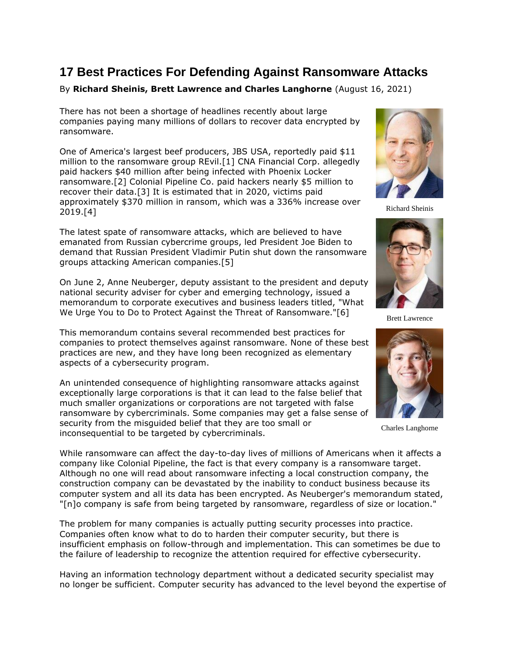# **17 Best Practices For Defending Against Ransomware Attacks**

## By **Richard Sheinis, Brett Lawrence and Charles Langhorne** (August 16, 2021)

There has not been a shortage of headlines recently about large companies paying many millions of dollars to recover data encrypted by ransomware.

One of America's largest beef producers, [JBS USA,](https://www.law360.com/companies/jbs-sa) reportedly paid \$11 million to the ransomware group REvil.[1] [CNA Financial Corp.](https://www.law360.com/companies/cna-financial-corp) allegedly paid hackers \$40 million after being infected with Phoenix Locker ransomware.[2] [Colonial Pipeline Co.](https://www.law360.com/companies/colonial-pipeline-co) paid hackers nearly \$5 million to recover their data.[3] It is estimated that in 2020, victims paid approximately \$370 million in ransom, which was a 336% increase over 2019.[4]

The latest spate of ransomware attacks, which are believed to have emanated from Russian cybercrime groups, led President Joe Biden to demand that Russian President Vladimir Putin shut down the ransomware groups attacking American companies.[5]

On June 2, Anne Neuberger, deputy assistant to the president and deputy national security adviser for cyber and emerging technology, issued a memorandum to corporate executives and business leaders titled, "What We Urge You to Do to Protect Against the Threat of Ransomware."[6]

This memorandum contains several recommended best practices for companies to protect themselves against ransomware. None of these best practices are new, and they have long been recognized as elementary aspects of a cybersecurity program.

An unintended consequence of highlighting ransomware attacks against exceptionally large corporations is that it can lead to the false belief that much smaller organizations or corporations are not targeted with false ransomware by cybercriminals. Some companies may get a false sense of security from the misguided belief that they are too small or inconsequential to be targeted by cybercriminals.



Richard Sheinis



Brett Lawrence



Charles Langhorne

While ransomware can affect the day-to-day lives of millions of Americans when it affects a company like Colonial Pipeline, the fact is that every company is a ransomware target. Although no one will read about ransomware infecting a local construction company, the construction company can be devastated by the inability to conduct business because its computer system and all its data has been encrypted. As Neuberger's memorandum stated, "[n]o company is safe from being targeted by ransomware, regardless of size or location."

The problem for many companies is actually putting security processes into practice. Companies often know what to do to harden their computer security, but there is insufficient emphasis on follow-through and implementation. This can sometimes be due to the failure of leadership to recognize the attention required for effective cybersecurity.

Having an information technology department without a dedicated security specialist may no longer be sufficient. Computer security has advanced to the level beyond the expertise of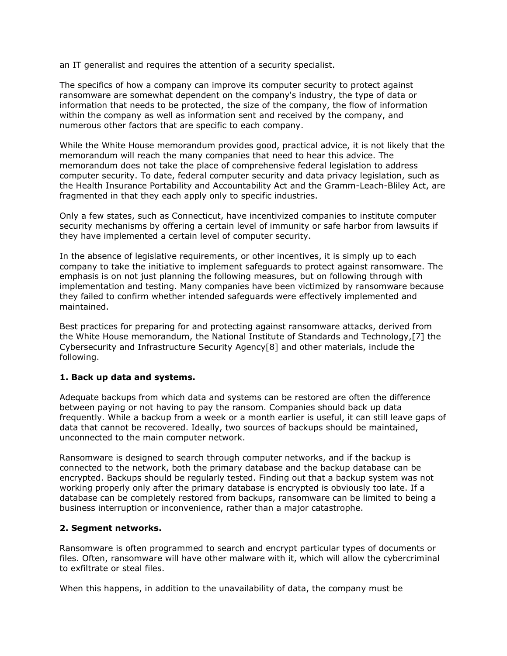an IT generalist and requires the attention of a security specialist.

The specifics of how a company can improve its computer security to protect against ransomware are somewhat dependent on the company's industry, the type of data or information that needs to be protected, the size of the company, the flow of information within the company as well as information sent and received by the company, and numerous other factors that are specific to each company.

While the White House memorandum provides good, practical advice, it is not likely that the memorandum will reach the many companies that need to hear this advice. The memorandum does not take the place of comprehensive federal legislation to address computer security. To date, federal computer security and data privacy legislation, such as the Health Insurance Portability and Accountability Act and the Gramm-Leach-Bliley Act, are fragmented in that they each apply only to specific industries.

Only a few states, such as Connecticut, have incentivized companies to institute computer security mechanisms by offering a certain level of immunity or safe harbor from lawsuits if they have implemented a certain level of computer security.

In the absence of legislative requirements, or other incentives, it is simply up to each company to take the initiative to implement safeguards to protect against ransomware. The emphasis is on not just planning the following measures, but on following through with implementation and testing. Many companies have been victimized by ransomware because they failed to confirm whether intended safeguards were effectively implemented and maintained.

Best practices for preparing for and protecting against ransomware attacks, derived from the White House memorandum, the [National Institute of Standards and Technology,](https://www.law360.com/agencies/national-institute-of-standards-and-technology)[7] the Cybersecurity and Infrastructure Security Agency[8] and other materials, include the following.

#### **1. Back up data and systems.**

Adequate backups from which data and systems can be restored are often the difference between paying or not having to pay the ransom. Companies should back up data frequently. While a backup from a week or a month earlier is useful, it can still leave gaps of data that cannot be recovered. Ideally, two sources of backups should be maintained, unconnected to the main computer network.

Ransomware is designed to search through computer networks, and if the backup is connected to the network, both the primary database and the backup database can be encrypted. Backups should be regularly tested. Finding out that a backup system was not working properly only after the primary database is encrypted is obviously too late. If a database can be completely restored from backups, ransomware can be limited to being a business interruption or inconvenience, rather than a major catastrophe.

#### **2. Segment networks.**

Ransomware is often programmed to search and encrypt particular types of documents or files. Often, ransomware will have other malware with it, which will allow the cybercriminal to exfiltrate or steal files.

When this happens, in addition to the unavailability of data, the company must be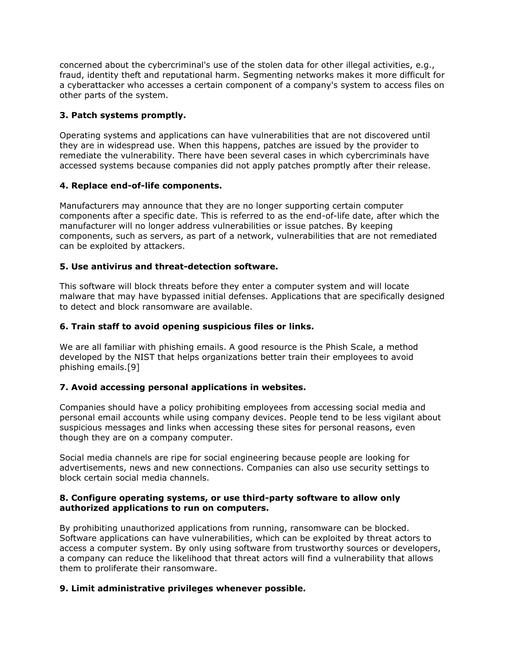concerned about the cybercriminal's use of the stolen data for other illegal activities, e.g., fraud, identity theft and reputational harm. Segmenting networks makes it more difficult for a cyberattacker who accesses a certain component of a company's system to access files on other parts of the system.

# **3. Patch systems promptly.**

Operating systems and applications can have vulnerabilities that are not discovered until they are in widespread use. When this happens, patches are issued by the provider to remediate the vulnerability. There have been several cases in which cybercriminals have accessed systems because companies did not apply patches promptly after their release.

#### **4. Replace end-of-life components.**

Manufacturers may announce that they are no longer supporting certain computer components after a specific date. This is referred to as the end-of-life date, after which the manufacturer will no longer address vulnerabilities or issue patches. By keeping components, such as servers, as part of a network, vulnerabilities that are not remediated can be exploited by attackers.

## **5. Use antivirus and threat-detection software.**

This software will block threats before they enter a computer system and will locate malware that may have bypassed initial defenses. Applications that are specifically designed to detect and block ransomware are available.

## **6. Train staff to avoid opening suspicious files or links.**

We are all familiar with phishing emails. A good resource is the Phish Scale, a method developed by the NIST that helps organizations better train their employees to avoid phishing emails.[9]

#### **7. Avoid accessing personal applications in websites.**

Companies should have a policy prohibiting employees from accessing social media and personal email accounts while using company devices. People tend to be less vigilant about suspicious messages and links when accessing these sites for personal reasons, even though they are on a company computer.

Social media channels are ripe for social engineering because people are looking for advertisements, news and new connections. Companies can also use security settings to block certain social media channels.

## **8. Configure operating systems, or use third-party software to allow only authorized applications to run on computers.**

By prohibiting unauthorized applications from running, ransomware can be blocked. Software applications can have vulnerabilities, which can be exploited by threat actors to access a computer system. By only using software from trustworthy sources or developers, a company can reduce the likelihood that threat actors will find a vulnerability that allows them to proliferate their ransomware.

#### **9. Limit administrative privileges whenever possible.**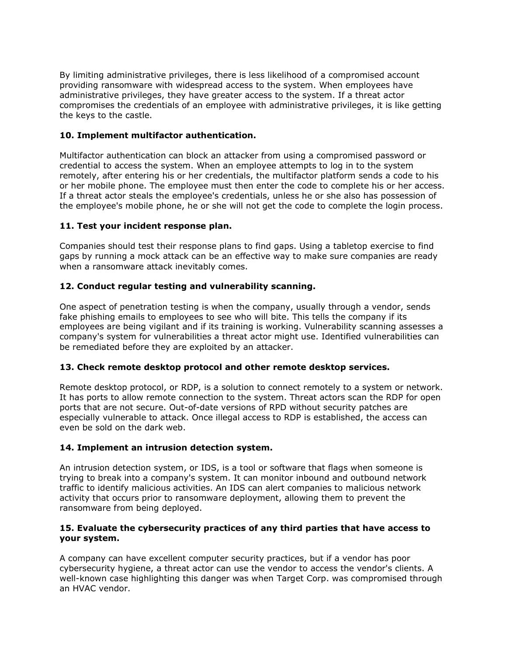By limiting administrative privileges, there is less likelihood of a compromised account providing ransomware with widespread access to the system. When employees have administrative privileges, they have greater access to the system. If a threat actor compromises the credentials of an employee with administrative privileges, it is like getting the keys to the castle.

## **10. Implement multifactor authentication.**

Multifactor authentication can block an attacker from using a compromised password or credential to access the system. When an employee attempts to log in to the system remotely, after entering his or her credentials, the multifactor platform sends a code to his or her mobile phone. The employee must then enter the code to complete his or her access. If a threat actor steals the employee's credentials, unless he or she also has possession of the employee's mobile phone, he or she will not get the code to complete the login process.

## **11. Test your incident response plan.**

Companies should test their response plans to find gaps. Using a tabletop exercise to find gaps by running a mock attack can be an effective way to make sure companies are ready when a ransomware attack inevitably comes.

## **12. Conduct regular testing and vulnerability scanning.**

One aspect of penetration testing is when the company, usually through a vendor, sends fake phishing emails to employees to see who will bite. This tells the company if its employees are being vigilant and if its training is working. Vulnerability scanning assesses a company's system for vulnerabilities a threat actor might use. Identified vulnerabilities can be remediated before they are exploited by an attacker.

#### **13. Check remote desktop protocol and other remote desktop services.**

Remote desktop protocol, or RDP, is a solution to connect remotely to a system or network. It has ports to allow remote connection to the system. Threat actors scan the RDP for open ports that are not secure. Out-of-date versions of RPD without security patches are especially vulnerable to attack. Once illegal access to RDP is established, the access can even be sold on the dark web.

#### **14. Implement an intrusion detection system.**

An intrusion detection system, or IDS, is a tool or software that flags when someone is trying to break into a company's system. It can monitor inbound and outbound network traffic to identify malicious activities. An IDS can alert companies to malicious network activity that occurs prior to ransomware deployment, allowing them to prevent the ransomware from being deployed.

#### **15. Evaluate the cybersecurity practices of any third parties that have access to your system.**

A company can have excellent computer security practices, but if a vendor has poor cybersecurity hygiene, a threat actor can use the vendor to access the vendor's clients. A well-known case highlighting this danger was when [Target Corp.](https://www.law360.com/companies/target-corp) was compromised through an HVAC vendor.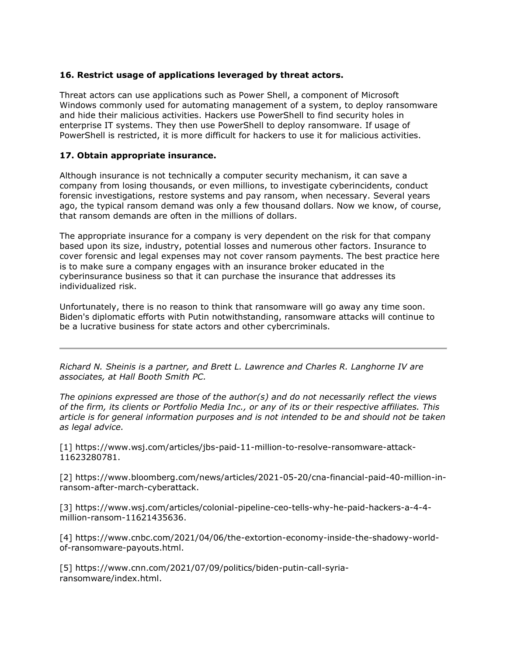# **16. Restrict usage of applications leveraged by threat actors.**

Threat actors can use applications such as Power Shell, a component of [Microsoft](https://www.law360.com/companies/microsoft-corp)  [Windows](https://www.law360.com/companies/microsoft-corp) commonly used for automating management of a system, to deploy ransomware and hide their malicious activities. Hackers use PowerShell to find security holes in enterprise IT systems. They then use PowerShell to deploy ransomware. If usage of PowerShell is restricted, it is more difficult for hackers to use it for malicious activities.

## **17. Obtain appropriate insurance.**

Although insurance is not technically a computer security mechanism, it can save a company from losing thousands, or even millions, to investigate cyberincidents, conduct forensic investigations, restore systems and pay ransom, when necessary. Several years ago, the typical ransom demand was only a few thousand dollars. Now we know, of course, that ransom demands are often in the millions of dollars.

The appropriate insurance for a company is very dependent on the risk for that company based upon its size, industry, potential losses and numerous other factors. Insurance to cover forensic and legal expenses may not cover ransom payments. The best practice here is to make sure a company engages with an insurance broker educated in the cyberinsurance business so that it can purchase the insurance that addresses its individualized risk.

Unfortunately, there is no reason to think that ransomware will go away any time soon. Biden's diplomatic efforts with Putin notwithstanding, ransomware attacks will continue to be a lucrative business for state actors and other cybercriminals.

*[Richard N. Sheinis](https://hallboothsmith.com/attorney/richard-sheinis/) is a partner, and [Brett L. Lawrence](https://hallboothsmith.com/attorney/brett-lawrence/) and [Charles R. Langhorne IV](https://hallboothsmith.com/attorney/charles-r-langhorne-iv/) are associates, at [Hall Booth Smith PC.](https://www.law360.com/firms/hall-booth)*

*The opinions expressed are those of the author(s) and do not necessarily reflect the views of the firm, its clients or Portfolio Media Inc., or any of its or their respective affiliates. This article is for general information purposes and is not intended to be and should not be taken as legal advice.*

[1] [https://www.wsj.com/articles/jbs-paid-11-million-to-resolve-ransomware-attack-](https://www.wsj.com/articles/jbs-paid-11-million-to-resolve-ransomware-attack-11623280781)[11623280781.](https://www.wsj.com/articles/jbs-paid-11-million-to-resolve-ransomware-attack-11623280781)

[2] [https://www.bloomberg.com/news/articles/2021-05-20/cna-financial-paid-40-million-in](https://www.bloomberg.com/news/articles/2021-05-20/cna-financial-paid-40-million-in-ransom-after-march-cyberattack)[ransom-after-march-cyberattack.](https://www.bloomberg.com/news/articles/2021-05-20/cna-financial-paid-40-million-in-ransom-after-march-cyberattack)

[3] [https://www.wsj.com/articles/colonial-pipeline-ceo-tells-why-he-paid-hackers-a-4-4](https://www.wsj.com/articles/colonial-pipeline-ceo-tells-why-he-paid-hackers-a-4-4-million-ransom-11621435636) [million-ransom-11621435636.](https://www.wsj.com/articles/colonial-pipeline-ceo-tells-why-he-paid-hackers-a-4-4-million-ransom-11621435636)

[4] [https://www.cnbc.com/2021/04/06/the-extortion-economy-inside-the-shadowy-world](https://www.cnbc.com/2021/04/06/the-extortion-economy-inside-the-shadowy-world-of-ransomware-payouts.html)[of-ransomware-payouts.html.](https://www.cnbc.com/2021/04/06/the-extortion-economy-inside-the-shadowy-world-of-ransomware-payouts.html)

[5] [https://www.cnn.com/2021/07/09/politics/biden-putin-call-syria](https://www.cnn.com/2021/07/09/politics/biden-putin-call-syria-ransomware/index.html)[ransomware/index.html.](https://www.cnn.com/2021/07/09/politics/biden-putin-call-syria-ransomware/index.html)